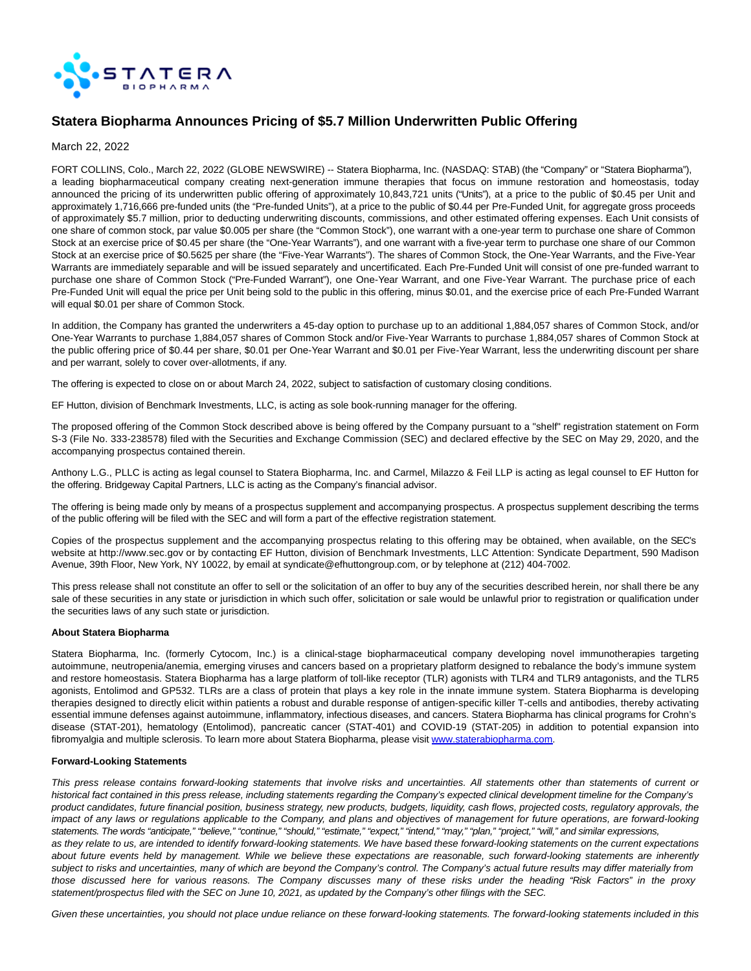

# **Statera Biopharma Announces Pricing of \$5.7 Million Underwritten Public Offering**

March 22, 2022

FORT COLLINS, Colo., March 22, 2022 (GLOBE NEWSWIRE) -- Statera Biopharma, Inc. (NASDAQ: STAB) (the "Company" or "Statera Biopharma"), a leading biopharmaceutical company creating next-generation immune therapies that focus on immune restoration and homeostasis, today announced the pricing of its underwritten public offering of approximately 10,843,721 units ("Units"), at a price to the public of \$0.45 per Unit and approximately 1,716,666 pre-funded units (the "Pre-funded Units"), at a price to the public of \$0.44 per Pre-Funded Unit, for aggregate gross proceeds of approximately \$5.7 million, prior to deducting underwriting discounts, commissions, and other estimated offering expenses. Each Unit consists of one share of common stock, par value \$0.005 per share (the "Common Stock"), one warrant with a one-year term to purchase one share of Common Stock at an exercise price of \$0.45 per share (the "One-Year Warrants"), and one warrant with a five-year term to purchase one share of our Common Stock at an exercise price of \$0.5625 per share (the "Five-Year Warrants"). The shares of Common Stock, the One-Year Warrants, and the Five-Year Warrants are immediately separable and will be issued separately and uncertificated. Each Pre-Funded Unit will consist of one pre-funded warrant to purchase one share of Common Stock ("Pre-Funded Warrant"), one One-Year Warrant, and one Five-Year Warrant. The purchase price of each Pre-Funded Unit will equal the price per Unit being sold to the public in this offering, minus \$0.01, and the exercise price of each Pre-Funded Warrant will equal \$0.01 per share of Common Stock.

In addition, the Company has granted the underwriters a 45-day option to purchase up to an additional 1,884,057 shares of Common Stock, and/or One-Year Warrants to purchase 1,884,057 shares of Common Stock and/or Five-Year Warrants to purchase 1,884,057 shares of Common Stock at the public offering price of \$0.44 per share, \$0.01 per One-Year Warrant and \$0.01 per Five-Year Warrant, less the underwriting discount per share and per warrant, solely to cover over-allotments, if any.

The offering is expected to close on or about March 24, 2022, subject to satisfaction of customary closing conditions.

EF Hutton, division of Benchmark Investments, LLC, is acting as sole book-running manager for the offering.

The proposed offering of the Common Stock described above is being offered by the Company pursuant to a "shelf" registration statement on Form S-3 (File No. 333-238578) filed with the Securities and Exchange Commission (SEC) and declared effective by the SEC on May 29, 2020, and the accompanying prospectus contained therein.

Anthony L.G., PLLC is acting as legal counsel to Statera Biopharma, Inc. and Carmel, Milazzo & Feil LLP is acting as legal counsel to EF Hutton for the offering. Bridgeway Capital Partners, LLC is acting as the Company's financial advisor.

The offering is being made only by means of a prospectus supplement and accompanying prospectus. A prospectus supplement describing the terms of the public offering will be filed with the SEC and will form a part of the effective registration statement.

Copies of the prospectus supplement and the accompanying prospectus relating to this offering may be obtained, when available, on the SEC's website at http://www.sec.gov or by contacting EF Hutton, division of Benchmark Investments, LLC Attention: Syndicate Department, 590 Madison Avenue, 39th Floor, New York, NY 10022, by email at syndicate@efhuttongroup.com, or by telephone at (212) 404-7002.

This press release shall not constitute an offer to sell or the solicitation of an offer to buy any of the securities described herein, nor shall there be any sale of these securities in any state or jurisdiction in which such offer, solicitation or sale would be unlawful prior to registration or qualification under the securities laws of any such state or jurisdiction.

#### **About Statera Biopharma**

Statera Biopharma, Inc. (formerly Cytocom, Inc.) is a clinical-stage biopharmaceutical company developing novel immunotherapies targeting autoimmune, neutropenia/anemia, emerging viruses and cancers based on a proprietary platform designed to rebalance the body's immune system and restore homeostasis. Statera Biopharma has a large platform of toll-like receptor (TLR) agonists with TLR4 and TLR9 antagonists, and the TLR5 agonists, Entolimod and GP532. TLRs are a class of protein that plays a key role in the innate immune system. Statera Biopharma is developing therapies designed to directly elicit within patients a robust and durable response of antigen-specific killer T-cells and antibodies, thereby activating essential immune defenses against autoimmune, inflammatory, infectious diseases, and cancers. Statera Biopharma has clinical programs for Crohn's disease (STAT-201), hematology (Entolimod), pancreatic cancer (STAT-401) and COVID-19 (STAT-205) in addition to potential expansion into fibromyalgia and multiple sclerosis. To learn more about Statera Biopharma, please visit [www.staterabiopharma.com.](https://www.globenewswire.com/Tracker?data=syxaCnkOrMaXdF7ZJKGOC3voIxw2ogkmEVAvz6ox3vAc3VoB85MqnBBYPNFg2v_evI9hBsk0APxE8CDSCEWgzHLWKDgdOuMhQGuf6GjB0Ms=)

## **Forward-Looking Statements**

This press release contains forward-looking statements that involve risks and uncertainties. All statements other than statements of current or historical fact contained in this press release, including statements regarding the Company's expected clinical development timeline for the Company's product candidates, future financial position, business strategy, new products, budgets, liquidity, cash flows, projected costs, regulatory approvals, the impact of any laws or regulations applicable to the Company, and plans and objectives of management for future operations, are forward-looking statements. The words "anticipate," "believe," "continue," "should," "estimate," "expect," "intend," "may," "plan," "project," "will," and similar expressions, as they relate to us, are intended to identify forward-looking statements. We have based these forward-looking statements on the current expectations about future events held by management. While we believe these expectations are reasonable, such forward-looking statements are inherently subject to risks and uncertainties, many of which are beyond the Company's control. The Company's actual future results may differ materially from those discussed here for various reasons. The Company discusses many of these risks under the heading "Risk Factors" in the proxy statement/prospectus filed with the SEC on June 10, 2021, as updated by the Company's other filings with the SEC.

Given these uncertainties, you should not place undue reliance on these forward-looking statements. The forward-looking statements included in this